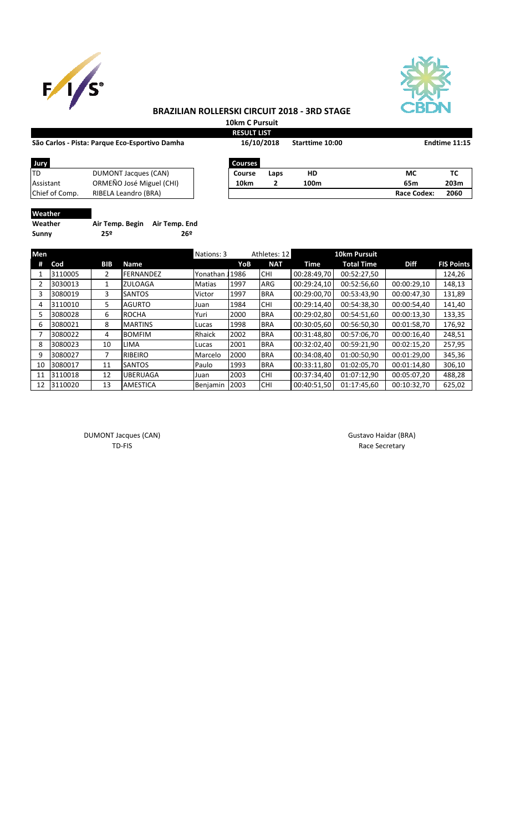



## **BRAZILIAN ROLLERSKI CIRCUIT 2018 - 3RD STAGE**

**10km C Pursuit**

| São Carlos - Pista: Parque Eco-Esportivo Damha | <b>RESULT LIST</b><br>16/10/2018 |                | Starttime 10:00 | Endtime 11:15 |                    |      |
|------------------------------------------------|----------------------------------|----------------|-----------------|---------------|--------------------|------|
| Jury                                           |                                  | <b>Courses</b> |                 |               |                    |      |
| ltd                                            | DUMONT Jacques (CAN)             | Course         | Laps            | HD            | МC                 | ТC   |
| Assistant                                      | ORMEÑO José Miguel (CHI)         | 10km           | 2               | 100m          | 65m                | 203m |
| Chief of Comp.                                 | RIBELA Leandro (BRA)             |                |                 |               | <b>Race Codex:</b> | 2060 |
| <b>Masthor</b>                                 |                                  |                |                 |               |                    |      |

**Weather**

**Sunny 25º 26º**

**Weather Air Temp. Begin Air Temp. End**

| Men |         |            |                  | Nations: 3    |      | Athletes: 12 |             | <b>10km Pursuit</b> |             |                   |
|-----|---------|------------|------------------|---------------|------|--------------|-------------|---------------------|-------------|-------------------|
| #   | Cod     | <b>BIB</b> | Name             |               | YoB  | <b>NAT</b>   | Time        | <b>Total Time</b>   | <b>Diff</b> | <b>FIS Points</b> |
|     | 3110005 | 2          | <b>FERNANDEZ</b> | Yonathan      | 1986 | <b>CHI</b>   | 00:28:49.70 | 00:52:27,50         |             | 124,26            |
|     | 3030013 |            | <b>ZULOAGA</b>   | <b>Matias</b> | 1997 | ARG          | 00:29:24,10 | 00:52:56,60         | 00:00:29,10 | 148,13            |
| 3   | 3080019 | 3          | <b>SANTOS</b>    | Victor        | 1997 | <b>BRA</b>   | 00:29:00,70 | 00:53:43.90         | 00:00:47,30 | 131,89            |
| 4   | 3110010 | 5.         | <b>AGURTO</b>    | Juan          | 1984 | <b>CHI</b>   | 00:29:14.40 | 00:54:38,30         | 00:00:54,40 | 141,40            |
|     | 3080028 | 6          | <b>ROCHA</b>     | Yuri          | 2000 | <b>BRA</b>   | 00:29:02,80 | 00:54:51,60         | 00:00:13,30 | 133,35            |
| 6   | 3080021 | 8          | <b>MARTINS</b>   | Lucas         | 1998 | <b>BRA</b>   | 00:30:05.60 | 00:56:50.30         | 00:01:58.70 | 176,92            |
|     | 3080022 | 4          | <b>BOMFIM</b>    | Rhaick        | 2002 | <b>BRA</b>   | 00:31:48.80 | 00:57:06.70         | 00:00:16,40 | 248,51            |
| 8   | 3080023 | 10         | <b>LIMA</b>      | Lucas         | 2001 | <b>BRA</b>   | 00:32:02,40 | 00:59:21,90         | 00:02:15,20 | 257,95            |
| 9   | 3080027 |            | <b>RIBEIRO</b>   | Marcelo       | 2000 | <b>BRA</b>   | 00:34:08,40 | 01:00:50,90         | 00:01:29,00 | 345,36            |
| 10  | 3080017 | 11         | <b>SANTOS</b>    | Paulo         | 1993 | <b>BRA</b>   | 00:33:11,80 | 01:02:05,70         | 00:01:14,80 | 306,10            |
| 11  | 3110018 | 12         | <b>UBERUAGA</b>  | Juan          | 2003 | <b>CHI</b>   | 00:37:34,40 | 01:07:12,90         | 00:05:07,20 | 488,28            |
| 12  | 3110020 | 13         | <b>AMESTICA</b>  | Benjamin      | 2003 | <b>CHI</b>   | 00:40:51,50 | 01:17:45.60         | 00:10:32,70 | 625,02            |

DUMONT Jacques (CAN) and the control of the control of the Gustavo Haidar (BRA) and the Gustavo Haidar (BRA)

TD-FIS Race Secretary